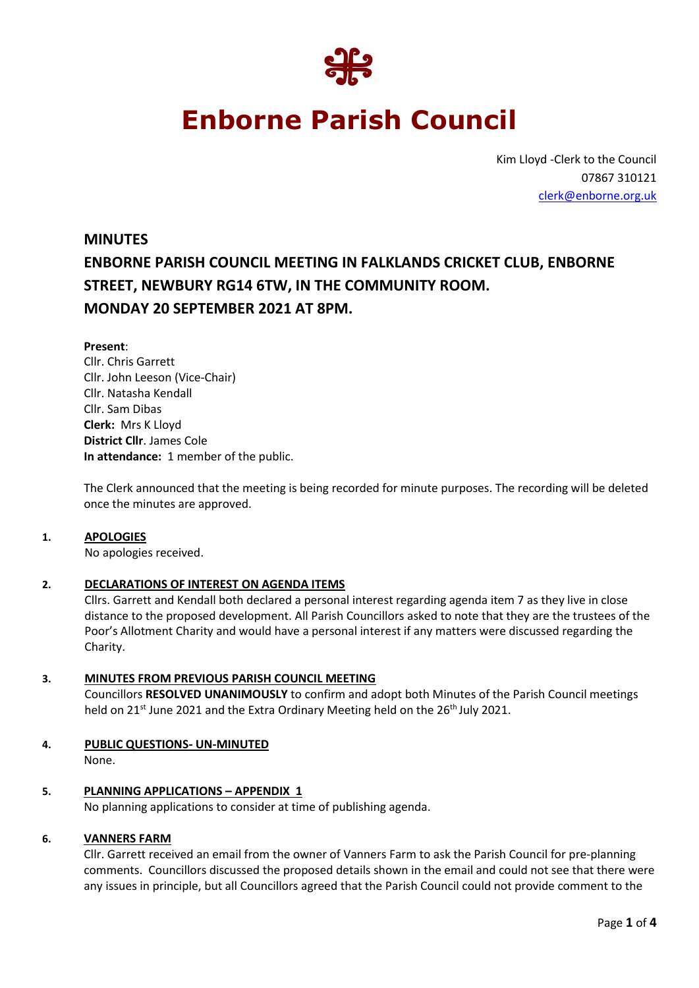

# **Enborne Parish Council**

Kim Lloyd -Clerk to the Council 07867 310121 [clerk@enborne.org.uk](mailto:clerk@enborne.org.uk)

# **MINUTES ENBORNE PARISH COUNCIL MEETING IN FALKLANDS CRICKET CLUB, ENBORNE STREET, NEWBURY RG14 6TW, IN THE COMMUNITY ROOM. MONDAY 20 SEPTEMBER 2021 AT 8PM.**

#### **Present**:

Cllr. Chris Garrett Cllr. John Leeson (Vice-Chair) Cllr. Natasha Kendall Cllr. Sam Dibas **Clerk:** Mrs K Lloyd **District Cllr**. James Cole **In attendance:** 1 member of the public.

The Clerk announced that the meeting is being recorded for minute purposes. The recording will be deleted once the minutes are approved.

#### **1. APOLOGIES**

No apologies received.

#### **2. DECLARATIONS OF INTEREST ON AGENDA ITEMS**

Cllrs. Garrett and Kendall both declared a personal interest regarding agenda item 7 as they live in close distance to the proposed development. All Parish Councillors asked to note that they are the trustees of the Poor's Allotment Charity and would have a personal interest if any matters were discussed regarding the Charity.

#### **3. MINUTES FROM PREVIOUS PARISH COUNCIL MEETING**

Councillors **RESOLVED UNANIMOUSLY** to confirm and adopt both Minutes of the Parish Council meetings held on 21<sup>st</sup> June 2021 and the Extra Ordinary Meeting held on the 26<sup>th</sup> July 2021.

#### **4. PUBLIC QUESTIONS- UN-MINUTED**

None.

## **5. PLANNING APPLICATIONS – APPENDIX 1**

No planning applications to consider at time of publishing agenda.

#### **6. VANNERS FARM**

Cllr. Garrett received an email from the owner of Vanners Farm to ask the Parish Council for pre-planning comments. Councillors discussed the proposed details shown in the email and could not see that there were any issues in principle, but all Councillors agreed that the Parish Council could not provide comment to the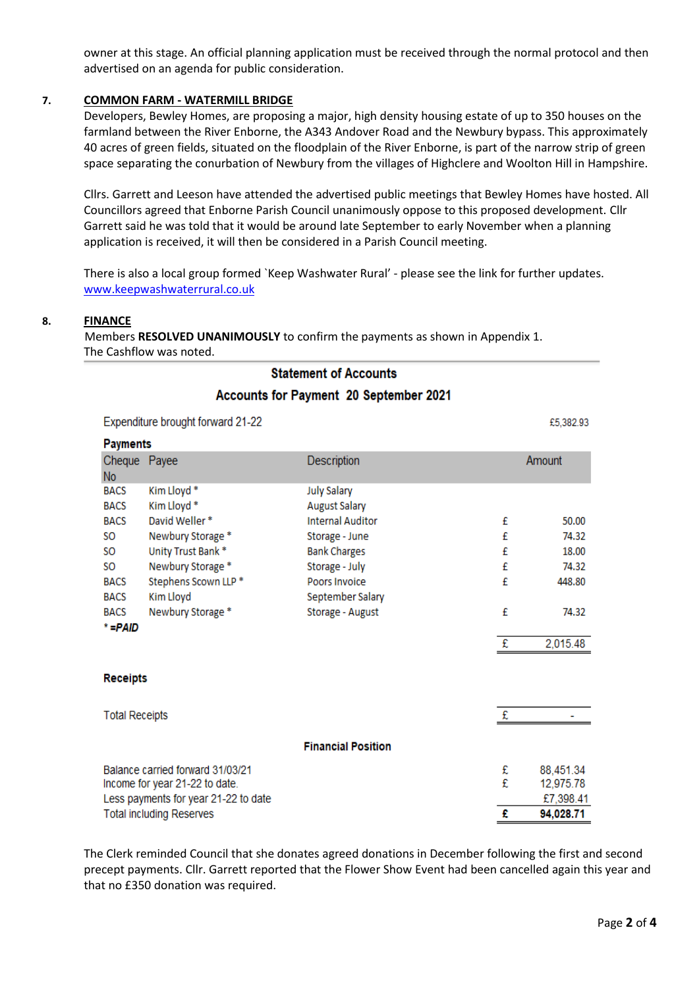owner at this stage. An official planning application must be received through the normal protocol and then advertised on an agenda for public consideration.

#### **7. COMMON FARM - WATERMILL BRIDGE**

Developers, Bewley Homes, are proposing a major, high density housing estate of up to 350 houses on the farmland between the River Enborne, the A343 Andover Road and the Newbury bypass. This approximately 40 acres of green fields, situated on the floodplain of the River Enborne, is part of the narrow strip of green space separating the conurbation of Newbury from the villages of Highclere and Woolton Hill in Hampshire.

Cllrs. Garrett and Leeson have attended the advertised public meetings that Bewley Homes have hosted. All Councillors agreed that Enborne Parish Council unanimously oppose to this proposed development. Cllr Garrett said he was told that it would be around late September to early November when a planning application is received, it will then be considered in a Parish Council meeting.

There is also a local group formed `Keep Washwater Rural' - please see the link for further updates. [www.keepwashwaterrural.co.uk](http://www.keepwashwaterrural.co.uk/)

#### **8. FINANCE**

Members **RESOLVED UNANIMOUSLY** to confirm the payments as shown in Appendix 1. The Cashflow was noted.

# **Statement of Accounts Accounts for Payment 20 September 2021**

Expenditure brought forward 21-22 £5,382.93 **Payments** Cheque Payee Amount **Description** No. **BACS** Kim Lloyd\* **July Salary BACS** Kim Lloyd \* **August Salary BACS** David Weller\* **Internal Auditor** £ 50.00 SO. Newbury Storage \* Storage - June £ 74.32 **SO** Unity Trust Bank\* £ 18.00 **Bank Charges SO** Newbury Storage \* Storage - July £ 74.32 Stephens Scown LLP \* **BACS** Poors Invoice £ 448.80 **BACS** Kim Lloyd September Salary Newbury Storage \* £ 74.32 **BACS** Storage - August  $* = PAID$ £ 2.015.48 **Receipts** £ **Total Receipts** ä, **Financial Position** Balance carried forward 31/03/21 £ 88,451.34 £ Income for year 21-22 to date. 12,975.78 Less payments for year 21-22 to date £7,398.41 **Total including Reserves** £ 94,028.71

The Clerk reminded Council that she donates agreed donations in December following the first and second precept payments. Cllr. Garrett reported that the Flower Show Event had been cancelled again this year and that no £350 donation was required.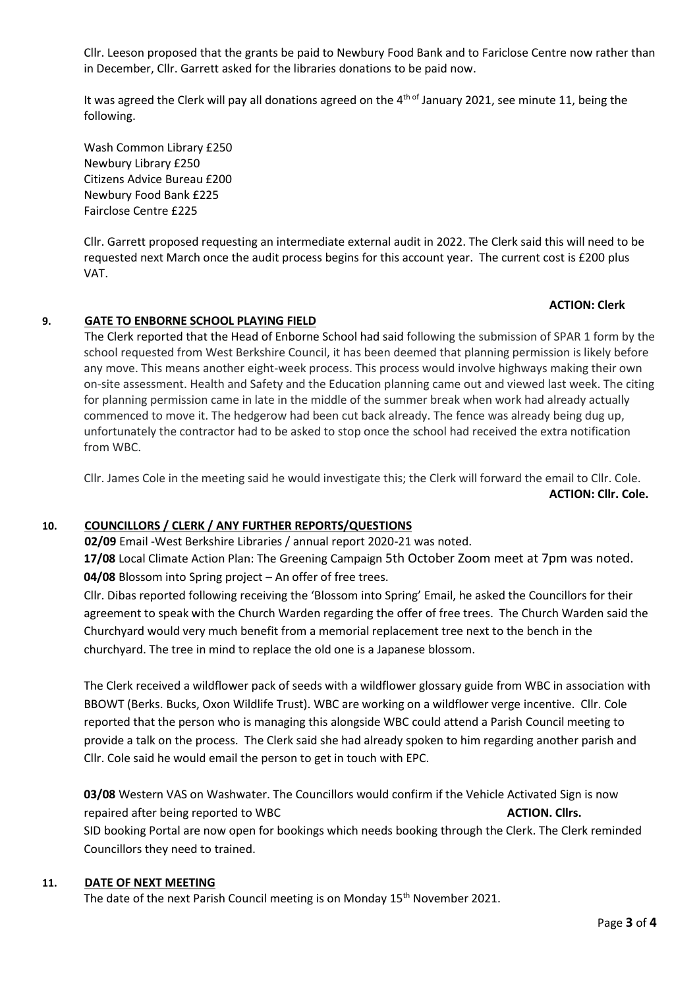Cllr. Leeson proposed that the grants be paid to Newbury Food Bank and to Fariclose Centre now rather than in December, Cllr. Garrett asked for the libraries donations to be paid now.

It was agreed the Clerk will pay all donations agreed on the 4<sup>th of</sup> January 2021, see minute 11, being the following.

Wash Common Library £250 Newbury Library £250 Citizens Advice Bureau £200 Newbury Food Bank £225 Fairclose Centre £225

Cllr. Garrett proposed requesting an intermediate external audit in 2022. The Clerk said this will need to be requested next March once the audit process begins for this account year. The current cost is £200 plus VAT.

#### **ACTION: Clerk**

#### **9. GATE TO ENBORNE SCHOOL PLAYING FIELD**

The Clerk reported that the Head of Enborne School had said following the submission of SPAR 1 form by the school requested from West Berkshire Council, it has been deemed that planning permission is likely before any move. This means another eight-week process. This process would involve highways making their own on-site assessment. Health and Safety and the Education planning came out and viewed last week. The citing for planning permission came in late in the middle of the summer break when work had already actually commenced to move it. The hedgerow had been cut back already. The fence was already being dug up, unfortunately the contractor had to be asked to stop once the school had received the extra notification from WBC.

Cllr. James Cole in the meeting said he would investigate this; the Clerk will forward the email to Cllr. Cole. **ACTION: Cllr. Cole.** 

#### **10. COUNCILLORS / CLERK / ANY FURTHER REPORTS/QUESTIONS**

**02/09** Email -West Berkshire Libraries / annual report 2020-21 was noted. **17/08** Local Climate Action Plan: The Greening Campaign 5th October Zoom meet at 7pm was noted. **04/08** Blossom into Spring project – An offer of free trees.

Cllr. Dibas reported following receiving the 'Blossom into Spring' Email, he asked the Councillors for their agreement to speak with the Church Warden regarding the offer of free trees. The Church Warden said the Churchyard would very much benefit from a memorial replacement tree next to the bench in the churchyard. The tree in mind to replace the old one is a Japanese blossom.

The Clerk received a wildflower pack of seeds with a wildflower glossary guide from WBC in association with BBOWT (Berks. Bucks, Oxon Wildlife Trust). WBC are working on a wildflower verge incentive. Cllr. Cole reported that the person who is managing this alongside WBC could attend a Parish Council meeting to provide a talk on the process. The Clerk said she had already spoken to him regarding another parish and Cllr. Cole said he would email the person to get in touch with EPC.

**03/08** Western VAS on Washwater. The Councillors would confirm if the Vehicle Activated Sign is now repaired after being reported to WBC **ACTION. Clirs. ACTION. Clirs. ACTION.** Clirs. SID booking Portal are now open for bookings which needs booking through the Clerk. The Clerk reminded Councillors they need to trained.

#### **11. DATE OF NEXT MEETING**

The date of the next Parish Council meeting is on Monday 15<sup>th</sup> November 2021.